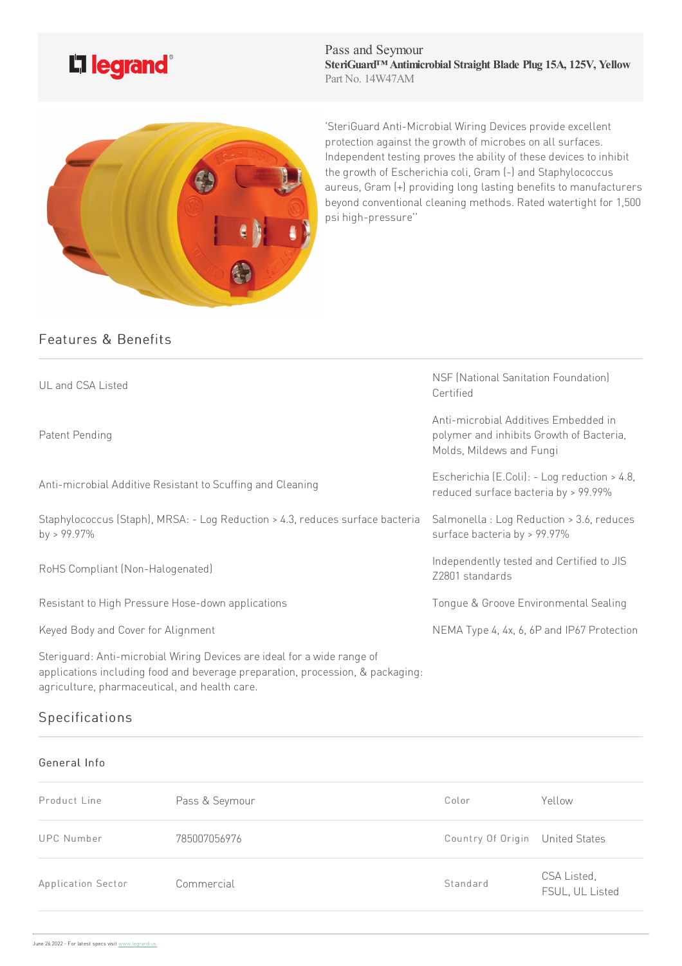

Pass and Seymour **SteriGuard™ Antimicrobial Straight Blade Plug 15A, 125V, Yellow** Part No. 14W47AM



'SteriGuard Anti-Microbial Wiring Devices provide excellent protection against the growth of microbes on all surfaces. Independent testing proves the ability of these devices to inhibit the growth of Escherichia coli, Gram (-) and Staphylococcus aureus, Gram (+) providing long lasting benefits to manufacturers beyond conventional cleaning methods. Rated watertight for 1,500 psihigh-pressure''

# Features & Benefits

| UL and CSA Listed                                                                                                                                                                                          | NSF (National Sanitation Foundation)<br>Certified                                                            |
|------------------------------------------------------------------------------------------------------------------------------------------------------------------------------------------------------------|--------------------------------------------------------------------------------------------------------------|
| Patent Pending                                                                                                                                                                                             | Anti-microbial Additives Embedded in<br>polymer and inhibits Growth of Bacteria,<br>Molds, Mildews and Fungi |
| Anti-microbial Additive Resistant to Scuffing and Cleaning                                                                                                                                                 | Escherichia (E.Coli): - Log reduction > 4.8,<br>reduced surface bacteria by > 99.99%                         |
| Staphylococcus (Staph), MRSA: - Log Reduction > 4.3, reduces surface bacteria<br>by > $99.97\%$                                                                                                            | Salmonella : Log Reduction > 3.6, reduces<br>surface bacteria by > 99.97%                                    |
| RoHS Compliant (Non-Halogenated)                                                                                                                                                                           | Independently tested and Certified to JIS<br>Z2801 standards                                                 |
| Resistant to High Pressure Hose-down applications                                                                                                                                                          | Tongue & Groove Environmental Sealing                                                                        |
| Keyed Body and Cover for Alignment                                                                                                                                                                         | NEMA Type 4, 4x, 6, 6P and IP67 Protection                                                                   |
| Steriguard: Anti-microbial Wiring Devices are ideal for a wide range of<br>applications including food and beverage preparation, procession, & packaging:<br>agriculture, pharmaceutical, and health care. |                                                                                                              |

# **Specifications**

#### General Info

| Product Line       | Pass & Seymour | Color                           | Yellow                         |
|--------------------|----------------|---------------------------------|--------------------------------|
| UPC Number         | 785007056976   | Country Of Origin United States |                                |
| Application Sector | Commercial     | Standard                        | CSA Listed,<br>FSUL, UL Listed |